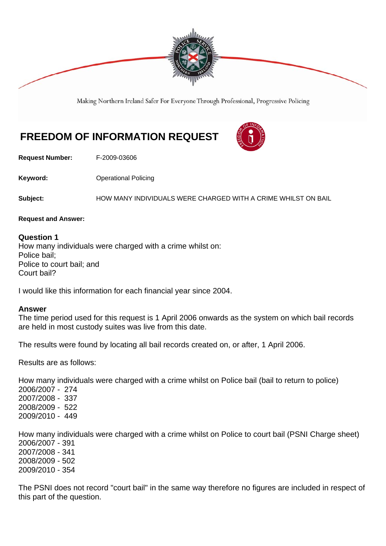

Making Northern Ireland Safer For Everyone Through Professional, Progressive Policing

## **FREEDOM OF INFORMATION REQUEST**



**Request Number:** F-2009-03606

**Keyword: Conservery Operational Policing** 

**Subject:** HOW MANY INDIVIDUALS WERE CHARGED WITH A CRIME WHILST ON BAIL

**Request and Answer:** 

## **Question 1**

How many individuals were charged with a crime whilst on: Police bail; Police to court bail; and Court bail?

I would like this information for each financial year since 2004.

## **Answer**

The time period used for this request is 1 April 2006 onwards as the system on which bail records are held in most custody suites was live from this date.

The results were found by locating all bail records created on, or after, 1 April 2006.

Results are as follows:

How many individuals were charged with a crime whilst on Police bail (bail to return to police)

2006/2007 - 274 2007/2008 - 337 2008/2009 - 522 2009/2010 - 449

How many individuals were charged with a crime whilst on Police to court bail (PSNI Charge sheet) 2006/2007 - 391 2007/2008 - 341 2008/2009 - 502 2009/2010 - 354

The PSNI does not record "court bail" in the same way therefore no figures are included in respect of this part of the question.